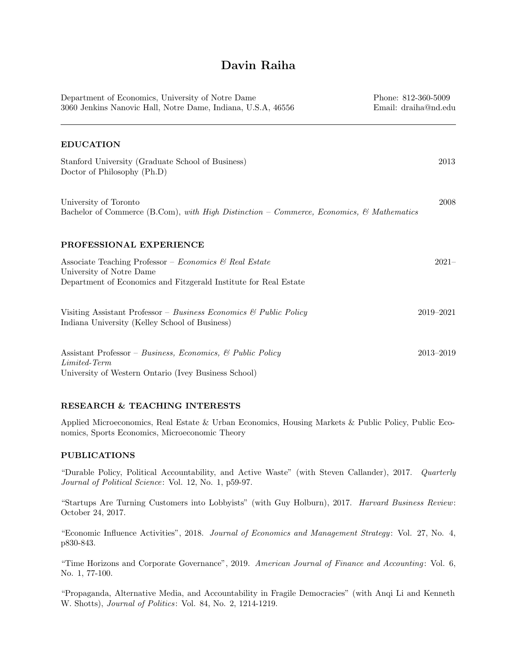# Davin Raiha

| Department of Economics, University of Notre Dame<br>3060 Jenkins Nanovic Hall, Notre Dame, Indiana, U.S.A, 46556                                      | Phone: 812-360-5009<br>Email: draiha@nd.edu |
|--------------------------------------------------------------------------------------------------------------------------------------------------------|---------------------------------------------|
| <b>EDUCATION</b>                                                                                                                                       |                                             |
| Stanford University (Graduate School of Business)<br>Doctor of Philosophy (Ph.D)                                                                       | 2013                                        |
| University of Toronto<br>Bachelor of Commerce (B.Com), with High Distinction – Commerce, Economics, & Mathematics                                      | 2008                                        |
| PROFESSIONAL EXPERIENCE                                                                                                                                |                                             |
| Associate Teaching Professor – Economics & Real Estate<br>University of Notre Dame<br>Department of Economics and Fitzgerald Institute for Real Estate | $2021 -$                                    |
| Visiting Assistant Professor – Business Economics & Public Policy<br>Indiana University (Kelley School of Business)                                    | 2019-2021                                   |
| Assistant Professor – Business, Economics, & Public Policy<br>Limited-Term<br>University of Western Ontario (Ivey Business School)                     | 2013-2019                                   |

## RESEARCH & TEACHING INTERESTS

Applied Microeconomics, Real Estate & Urban Economics, Housing Markets & Public Policy, Public Economics, Sports Economics, Microeconomic Theory

## PUBLICATIONS

"Durable Policy, Political Accountability, and Active Waste" (with Steven Callander), 2017. Quarterly Journal of Political Science: Vol. 12, No. 1, p59-97.

"Startups Are Turning Customers into Lobbyists" (with Guy Holburn), 2017. Harvard Business Review: October 24, 2017.

"Economic Influence Activities", 2018. Journal of Economics and Management Strategy : Vol. 27, No. 4, p830-843.

"Time Horizons and Corporate Governance", 2019. American Journal of Finance and Accounting: Vol. 6, No. 1, 77-100.

"Propaganda, Alternative Media, and Accountability in Fragile Democracies" (with Anqi Li and Kenneth W. Shotts), *Journal of Politics*: Vol. 84, No. 2, 1214-1219.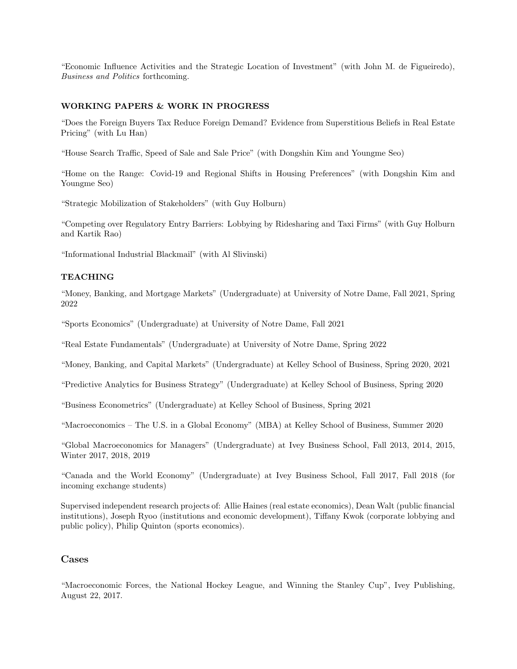"Economic Influence Activities and the Strategic Location of Investment" (with John M. de Figueiredo), Business and Politics forthcoming.

## WORKING PAPERS & WORK IN PROGRESS

"Does the Foreign Buyers Tax Reduce Foreign Demand? Evidence from Superstitious Beliefs in Real Estate Pricing" (with Lu Han)

"House Search Traffic, Speed of Sale and Sale Price" (with Dongshin Kim and Youngme Seo)

"Home on the Range: Covid-19 and Regional Shifts in Housing Preferences" (with Dongshin Kim and Youngme Seo)

"Strategic Mobilization of Stakeholders" (with Guy Holburn)

"Competing over Regulatory Entry Barriers: Lobbying by Ridesharing and Taxi Firms" (with Guy Holburn and Kartik Rao)

"Informational Industrial Blackmail" (with Al Slivinski)

## TEACHING

"Money, Banking, and Mortgage Markets" (Undergraduate) at University of Notre Dame, Fall 2021, Spring 2022

"Sports Economics" (Undergraduate) at University of Notre Dame, Fall 2021

"Real Estate Fundamentals" (Undergraduate) at University of Notre Dame, Spring 2022

"Money, Banking, and Capital Markets" (Undergraduate) at Kelley School of Business, Spring 2020, 2021

"Predictive Analytics for Business Strategy" (Undergraduate) at Kelley School of Business, Spring 2020

"Business Econometrics" (Undergraduate) at Kelley School of Business, Spring 2021

"Macroeconomics – The U.S. in a Global Economy" (MBA) at Kelley School of Business, Summer 2020

"Global Macroeconomics for Managers" (Undergraduate) at Ivey Business School, Fall 2013, 2014, 2015, Winter 2017, 2018, 2019

"Canada and the World Economy" (Undergraduate) at Ivey Business School, Fall 2017, Fall 2018 (for incoming exchange students)

Supervised independent research projects of: Allie Haines (real estate economics), Dean Walt (public financial institutions), Joseph Ryoo (institutions and economic development), Tiffany Kwok (corporate lobbying and public policy), Philip Quinton (sports economics).

## Cases

"Macroeconomic Forces, the National Hockey League, and Winning the Stanley Cup", Ivey Publishing, August 22, 2017.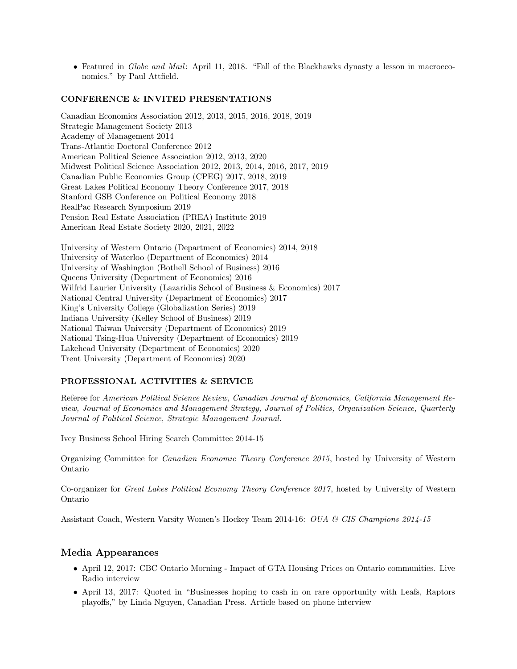• Featured in Globe and Mail: April 11, 2018. "Fall of the Blackhawks dynasty a lesson in macroeconomics." by Paul Attfield.

### CONFERENCE & INVITED PRESENTATIONS

Canadian Economics Association 2012, 2013, 2015, 2016, 2018, 2019 Strategic Management Society 2013 Academy of Management 2014 Trans-Atlantic Doctoral Conference 2012 American Political Science Association 2012, 2013, 2020 Midwest Political Science Association 2012, 2013, 2014, 2016, 2017, 2019 Canadian Public Economics Group (CPEG) 2017, 2018, 2019 Great Lakes Political Economy Theory Conference 2017, 2018 Stanford GSB Conference on Political Economy 2018 RealPac Research Symposium 2019 Pension Real Estate Association (PREA) Institute 2019 American Real Estate Society 2020, 2021, 2022

University of Western Ontario (Department of Economics) 2014, 2018 University of Waterloo (Department of Economics) 2014 University of Washington (Bothell School of Business) 2016 Queens University (Department of Economics) 2016 Wilfrid Laurier University (Lazaridis School of Business & Economics) 2017 National Central University (Department of Economics) 2017 King's University College (Globalization Series) 2019 Indiana University (Kelley School of Business) 2019 National Taiwan University (Department of Economics) 2019 National Tsing-Hua University (Department of Economics) 2019 Lakehead University (Department of Economics) 2020 Trent University (Department of Economics) 2020

### PROFESSIONAL ACTIVITIES & SERVICE

Referee for American Political Science Review, Canadian Journal of Economics, California Management Review, Journal of Economics and Management Strategy, Journal of Politics, Organization Science, Quarterly Journal of Political Science, Strategic Management Journal.

Ivey Business School Hiring Search Committee 2014-15

Organizing Committee for Canadian Economic Theory Conference 2015, hosted by University of Western Ontario

Co-organizer for Great Lakes Political Economy Theory Conference 2017, hosted by University of Western Ontario

Assistant Coach, Western Varsity Women's Hockey Team 2014-16: OUA & CIS Champions 2014-15

## Media Appearances

- April 12, 2017: CBC Ontario Morning Impact of GTA Housing Prices on Ontario communities. Live Radio interview
- April 13, 2017: Quoted in "Businesses hoping to cash in on rare opportunity with Leafs, Raptors playoffs," by Linda Nguyen, Canadian Press. Article based on phone interview